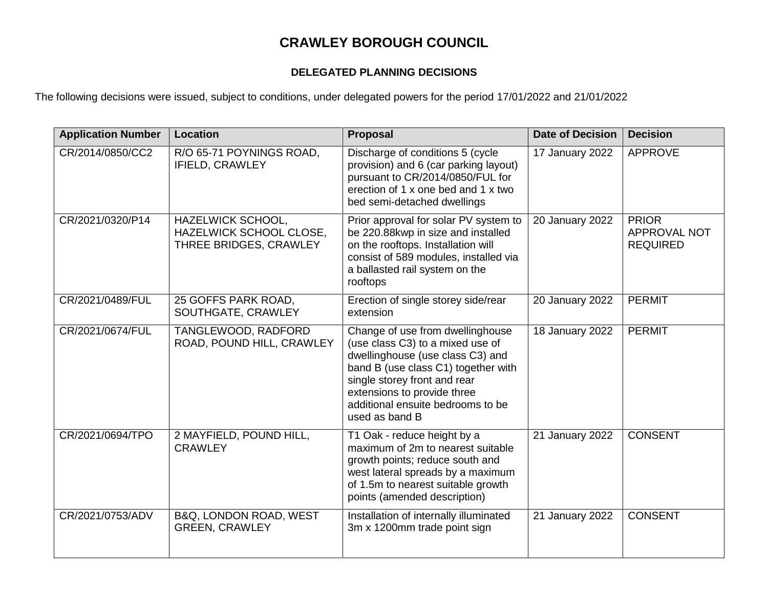## **CRAWLEY BOROUGH COUNCIL**

## **DELEGATED PLANNING DECISIONS**

The following decisions were issued, subject to conditions, under delegated powers for the period 17/01/2022 and 21/01/2022

| <b>Application Number</b> | Location                                                               | <b>Proposal</b>                                                                                                                                                                                                                                                       | <b>Date of Decision</b>      | <b>Decision</b>                                        |
|---------------------------|------------------------------------------------------------------------|-----------------------------------------------------------------------------------------------------------------------------------------------------------------------------------------------------------------------------------------------------------------------|------------------------------|--------------------------------------------------------|
| CR/2014/0850/CC2          | R/O 65-71 POYNINGS ROAD,<br><b>IFIELD, CRAWLEY</b>                     | Discharge of conditions 5 (cycle<br>provision) and 6 (car parking layout)<br>pursuant to CR/2014/0850/FUL for<br>erection of 1 x one bed and 1 x two<br>bed semi-detached dwellings                                                                                   | 17 January 2022              | <b>APPROVE</b>                                         |
| CR/2021/0320/P14          | HAZELWICK SCHOOL,<br>HAZELWICK SCHOOL CLOSE,<br>THREE BRIDGES, CRAWLEY | Prior approval for solar PV system to<br>be 220.88kwp in size and installed<br>on the rooftops. Installation will<br>consist of 589 modules, installed via<br>a ballasted rail system on the<br>rooftops                                                              | $\overline{20}$ January 2022 | <b>PRIOR</b><br><b>APPROVAL NOT</b><br><b>REQUIRED</b> |
| CR/2021/0489/FUL          | 25 GOFFS PARK ROAD,<br>SOUTHGATE, CRAWLEY                              | Erection of single storey side/rear<br>extension                                                                                                                                                                                                                      | 20 January 2022              | <b>PERMIT</b>                                          |
| CR/2021/0674/FUL          | TANGLEWOOD, RADFORD<br>ROAD, POUND HILL, CRAWLEY                       | Change of use from dwellinghouse<br>(use class C3) to a mixed use of<br>dwellinghouse (use class C3) and<br>band B (use class C1) together with<br>single storey front and rear<br>extensions to provide three<br>additional ensuite bedrooms to be<br>used as band B | 18 January 2022              | <b>PERMIT</b>                                          |
| CR/2021/0694/TPO          | 2 MAYFIELD, POUND HILL,<br><b>CRAWLEY</b>                              | T1 Oak - reduce height by a<br>maximum of 2m to nearest suitable<br>growth points; reduce south and<br>west lateral spreads by a maximum<br>of 1.5m to nearest suitable growth<br>points (amended description)                                                        | 21 January 2022              | <b>CONSENT</b>                                         |
| CR/2021/0753/ADV          | B&Q, LONDON ROAD, WEST<br><b>GREEN, CRAWLEY</b>                        | Installation of internally illuminated<br>3m x 1200mm trade point sign                                                                                                                                                                                                | 21 January 2022              | <b>CONSENT</b>                                         |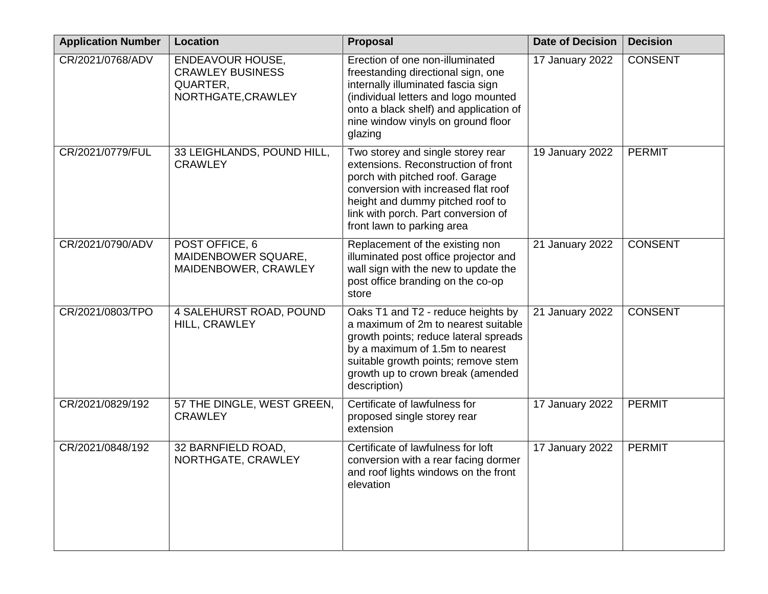| <b>Application Number</b> | <b>Location</b>                                                               | <b>Proposal</b>                                                                                                                                                                                                                                             | <b>Date of Decision</b> | <b>Decision</b> |
|---------------------------|-------------------------------------------------------------------------------|-------------------------------------------------------------------------------------------------------------------------------------------------------------------------------------------------------------------------------------------------------------|-------------------------|-----------------|
| CR/2021/0768/ADV          | ENDEAVOUR HOUSE,<br><b>CRAWLEY BUSINESS</b><br>QUARTER,<br>NORTHGATE, CRAWLEY | Erection of one non-illuminated<br>freestanding directional sign, one<br>internally illuminated fascia sign<br>(individual letters and logo mounted<br>onto a black shelf) and application of<br>nine window vinyls on ground floor<br>glazing              | 17 January 2022         | <b>CONSENT</b>  |
| CR/2021/0779/FUL          | 33 LEIGHLANDS, POUND HILL,<br><b>CRAWLEY</b>                                  | Two storey and single storey rear<br>extensions. Reconstruction of front<br>porch with pitched roof. Garage<br>conversion with increased flat roof<br>height and dummy pitched roof to<br>link with porch. Part conversion of<br>front lawn to parking area | 19 January 2022         | <b>PERMIT</b>   |
| CR/2021/0790/ADV          | POST OFFICE, 6<br>MAIDENBOWER SQUARE,<br>MAIDENBOWER, CRAWLEY                 | Replacement of the existing non<br>illuminated post office projector and<br>wall sign with the new to update the<br>post office branding on the co-op<br>store                                                                                              | 21 January 2022         | <b>CONSENT</b>  |
| CR/2021/0803/TPO          | 4 SALEHURST ROAD, POUND<br>HILL, CRAWLEY                                      | Oaks T1 and T2 - reduce heights by<br>a maximum of 2m to nearest suitable<br>growth points; reduce lateral spreads<br>by a maximum of 1.5m to nearest<br>suitable growth points; remove stem<br>growth up to crown break (amended<br>description)           | 21 January 2022         | <b>CONSENT</b>  |
| CR/2021/0829/192          | 57 THE DINGLE, WEST GREEN,<br><b>CRAWLEY</b>                                  | Certificate of lawfulness for<br>proposed single storey rear<br>extension                                                                                                                                                                                   | 17 January 2022         | <b>PERMIT</b>   |
| CR/2021/0848/192          | 32 BARNFIELD ROAD,<br>NORTHGATE, CRAWLEY                                      | Certificate of lawfulness for loft<br>conversion with a rear facing dormer<br>and roof lights windows on the front<br>elevation                                                                                                                             | 17 January 2022         | <b>PERMIT</b>   |